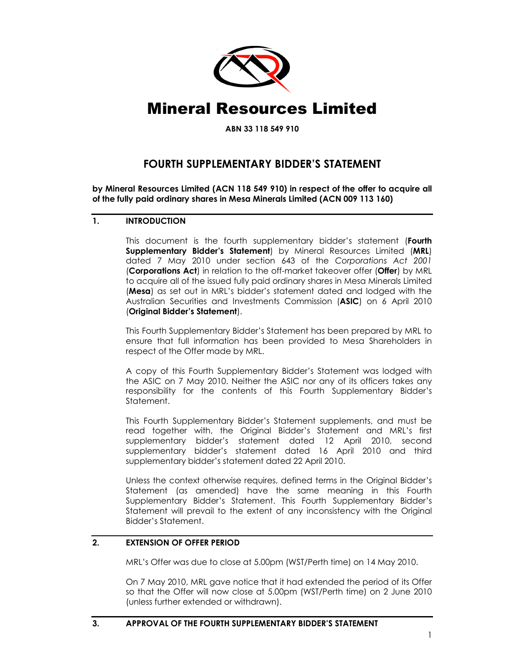

**ABN 33 118 549 910** 

## **FOURTH SUPPLEMENTARY BIDDER'S STATEMENT**

**by Mineral Resources Limited (ACN 118 549 910) in respect of the offer to acquire all of the fully paid ordinary shares in Mesa Minerals Limited (ACN 009 113 160)** 

## **1. INTRODUCTION**

This document is the fourth supplementary bidder's statement (**Fourth Supplementary Bidder's Statement**) by Mineral Resources Limited (**MRL**) dated 7 May 2010 under section 643 of the *Corporations Act 2001* (**Corporations Act**) in relation to the off-market takeover offer (**Offer**) by MRL to acquire all of the issued fully paid ordinary shares in Mesa Minerals Limited (**Mesa**) as set out in MRL's bidder's statement dated and lodged with the Australian Securities and Investments Commission (**ASIC**) on 6 April 2010 (**Original Bidder's Statement**).

This Fourth Supplementary Bidder's Statement has been prepared by MRL to ensure that full information has been provided to Mesa Shareholders in respect of the Offer made by MRL.

A copy of this Fourth Supplementary Bidder's Statement was lodged with the ASIC on 7 May 2010. Neither the ASIC nor any of its officers takes any responsibility for the contents of this Fourth Supplementary Bidder's Statement.

This Fourth Supplementary Bidder's Statement supplements, and must be read together with, the Original Bidder's Statement and MRL's first supplementary bidder's statement dated 12 April 2010, second supplementary bidder's statement dated 16 April 2010 and third supplementary bidder's statement dated 22 April 2010.

Unless the context otherwise requires, defined terms in the Original Bidder's Statement (as amended) have the same meaning in this Fourth Supplementary Bidder's Statement. This Fourth Supplementary Bidder's Statement will prevail to the extent of any inconsistency with the Original Bidder's Statement.

## **2. EXTENSION OF OFFER PERIOD**

MRL's Offer was due to close at 5.00pm (WST/Perth time) on 14 May 2010.

On 7 May 2010, MRL gave notice that it had extended the period of its Offer so that the Offer will now close at 5.00pm (WST/Perth time) on 2 June 2010 (unless further extended or withdrawn).